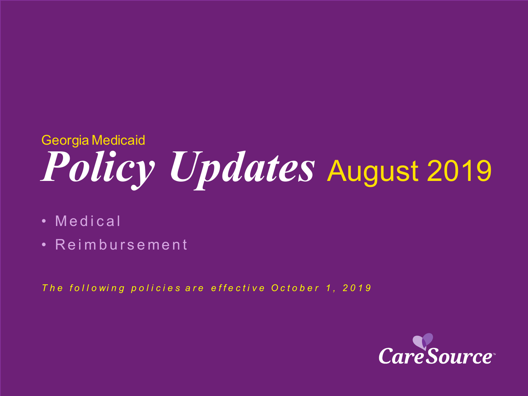# *Policy Updates* August 2019 Georgia Medicaid

- Medical
- Reimbursement

The following policies are effective October 1, 2019

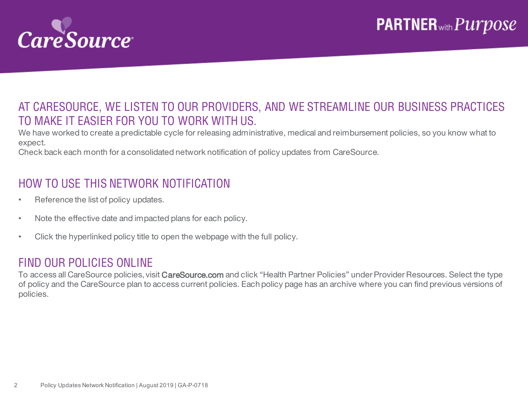

### AT CARESOURCE, WE LISTEN TO OUR PROVIDERS, AND WE STREAMLINE OUR BUSINESS PRACTICES TO MAKE IT EASIER FOR YOU TO WORK WITH US.

We have worked to create a predictable cycle for releasing administrative, medical and reimbursement policies, so you know what to expect.

Check back each month for a consolidated network notification of policy updates from CareSource.

### HOW TO USE THIS NETWORK NOTIFICATION

- Reference the list of policy updates.
- Note the effective date and impacted plans for each policy.
- Click the hyperlinked policy title to open the webpage with the full policy.

#### FIND OUR POLICIES ONLINE

To access all CareSource policies, visit CareSource.com and click "Health Partner Policies" under Provider Resources. Select the type of policy and the CareSource plan to access current policies. Each policy page has an archive where you can find previous versions of policies.